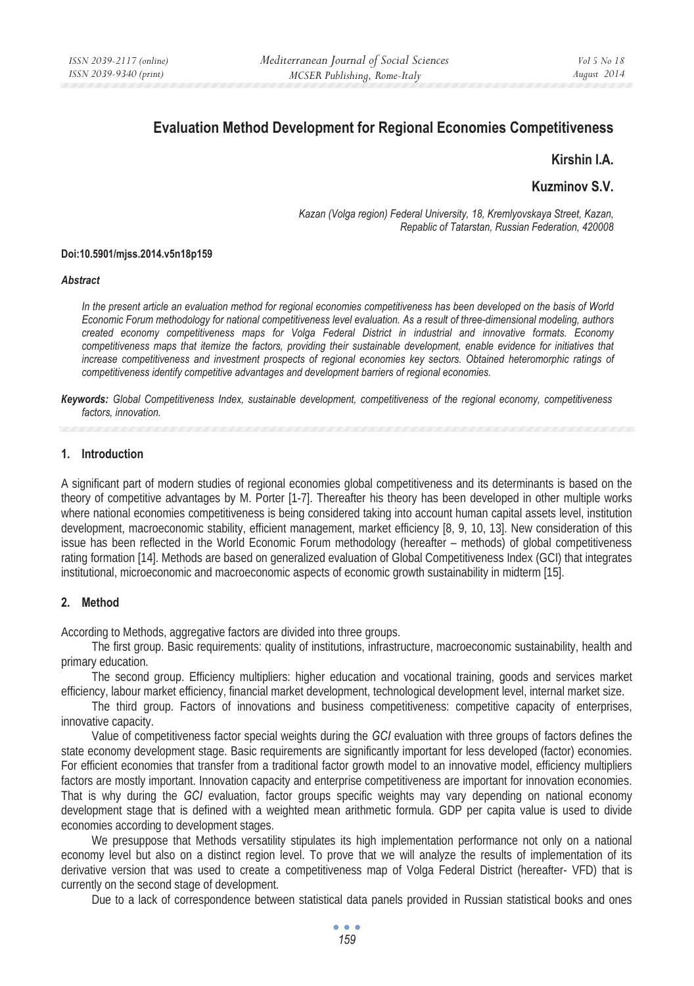# **Evaluation Method Development for Regional Economies Competitiveness**

# **Kirshin I.A.**

# **Kuzminov S.V.**

*Kazan (Volga region) Federal University, 18, Kremlyovskaya Street, Kazan, Repablic of Tatarstan, Russian Federation, 420008* 

### **Doi:10.5901/mjss.2014.v5n18p159**

### *Abstract*

*In the present article an evaluation method for regional economies competitiveness has been developed on the basis of World Economic Forum methodology for national competitiveness level evaluation. As a result of three-dimensional modeling, authors created economy competitiveness maps for Volga Federal District in industrial and innovative formats. Economy competitiveness maps that itemize the factors, providing their sustainable development, enable evidence for initiatives that increase competitiveness and investment prospects of regional economies key sectors. Obtained heteromorphic ratings of competitiveness identify competitive advantages and development barriers of regional economies.* 

*Ʉeywords: Global Competitiveness Index, sustainable development, competitiveness of the regional economy, competitiveness factors, innovation.* 

## **1. Introduction**

A significant part of modern studies of regional economies global competitiveness and its determinants is based on the theory of competitive advantages by M. Porter [1-7]. Thereafter his theory has been developed in other multiple works where national economies competitiveness is being considered taking into account human capital assets level, institution development, macroeconomic stability, efficient management, market efficiency [8, 9, 10, 13]. New consideration of this issue has been reflected in the World Economic Forum methodology (hereafter – methods) of global competitiveness rating formation [14]. Methods are based on generalized evaluation of Global Competitiveness Index (GCI) that integrates institutional, microeconomic and macroeconomic aspects of economic growth sustainability in midterm [15].

## **2. Method**

According to Methods, aggregative factors are divided into three groups.

The first group. Basic requirements: quality of institutions, infrastructure, macroeconomic sustainability, health and primary education.

The second group. Efficiency multipliers: higher education and vocational training, goods and services market efficiency, labour market efficiency, financial market development, technological development level, internal market size.

The third group. Factors of innovations and business competitiveness: competitive capacity of enterprises, innovative capacity.

Value of competitiveness factor special weights during the *GCI* evaluation with three groups of factors defines the state economy development stage. Basic requirements are significantly important for less developed (factor) economies. For efficient economies that transfer from a traditional factor growth model to an innovative model, efficiency multipliers factors are mostly important. Innovation capacity and enterprise competitiveness are important for innovation economies. That is why during the *GCI* evaluation, factor groups specific weights may vary depending on national economy development stage that is defined with a weighted mean arithmetic formula. GDP per capita value is used to divide economies according to development stages.

We presuppose that Methods versatility stipulates its high implementation performance not only on a national economy level but also on a distinct region level. To prove that we will analyze the results of implementation of its derivative version that was used to create a competitiveness map of Volga Federal District (hereafter- VFD) that is currently on the second stage of development.

Due to a lack of correspondence between statistical data panels provided in Russian statistical books and ones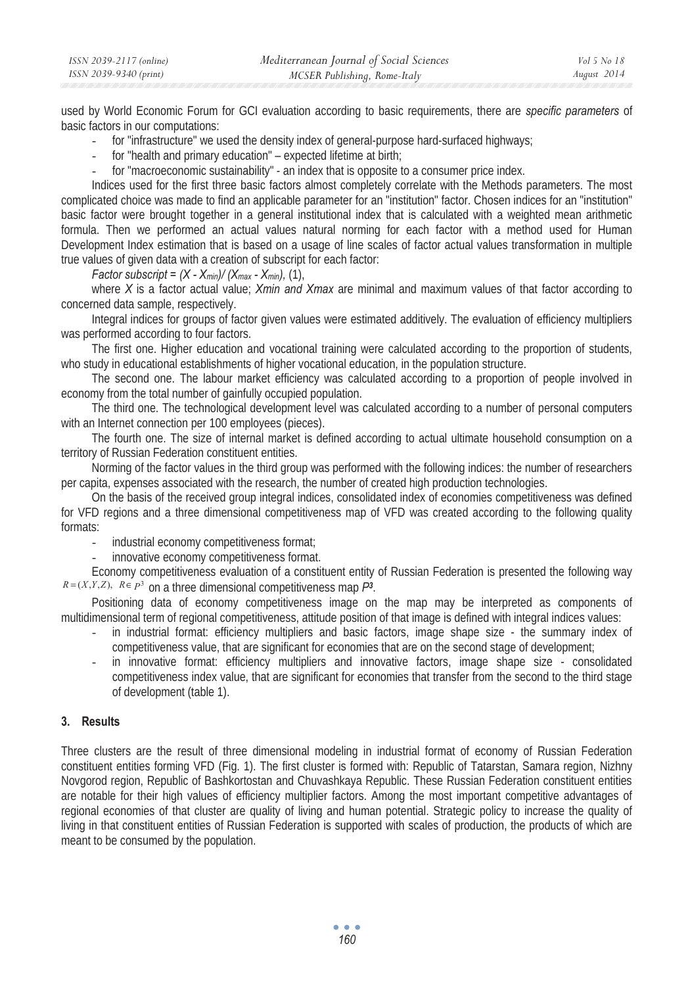| ISSN 2039-2117 (online) | Mediterranean Journal of Social Sciences | Vol 5 No 18 |
|-------------------------|------------------------------------------|-------------|
| ISSN 2039-9340 (print)  | MCSER Publishing, Rome-Italy             | August 2014 |

used by World Economic Forum for GCI evaluation according to basic requirements, there are *specific parameters* of basic factors in our computations:

- for "infrastructure" we used the density index of general-purpose hard-surfaced highways;
- for "health and primary education" expected lifetime at birth;
- for "macroeconomic sustainability" an index that is opposite to a consumer price index.

Indices used for the first three basic factors almost completely correlate with the Methods parameters. The most complicated choice was made to find an applicable parameter for an "institution" factor. Chosen indices for an "institution" basic factor were brought together in a general institutional index that is calculated with a weighted mean arithmetic formula. Then we performed an actual values natural norming for each factor with a method used for Human Development Index estimation that is based on a usage of line scales of factor actual values transformation in multiple true values of given data with a creation of subscript for each factor:

*Factor subscript =*  $(X - X_{min})/(X_{max} - X_{min})$ *, (1),* 

where *X* is a factor actual value; *Xmin and Xmax* are minimal and maximum values of that factor according to concerned data sample, respectively.

Integral indices for groups of factor given values were estimated additively. The evaluation of efficiency multipliers was performed according to four factors.

The first one. Higher education and vocational training were calculated according to the proportion of students, who study in educational establishments of higher vocational education, in the population structure.

The second one. The labour market efficiency was calculated according to a proportion of people involved in economy from the total number of gainfully occupied population.

The third one. The technological development level was calculated according to a number of personal computers with an Internet connection per 100 employees (pieces).

The fourth one. The size of internal market is defined according to actual ultimate household consumption on a territory of Russian Federation constituent entities.

Norming of the factor values in the third group was performed with the following indices: the number of researchers per capita, expenses associated with the research, the number of created high production technologies.

On the basis of the received group integral indices, consolidated index of economies competitiveness was defined for VFD regions and a three dimensional competitiveness map of VFD was created according to the following quality formats:

industrial economy competitiveness format;

innovative economy competitiveness format.

Economy competitiveness evaluation of a constituent entity of Russian Federation is presented the following way  $R = (X, Y, Z)$ ,  $R \in P^3$  on a three dimensional competitiveness map  $P^3$ .

Positioning data of economy competitiveness image on the map may be interpreted as components of multidimensional term of regional competitiveness, attitude position of that image is defined with integral indices values:

- in industrial format: efficiency multipliers and basic factors, image shape size the summary index of competitiveness value, that are significant for economies that are on the second stage of development;
- in innovative format: efficiency multipliers and innovative factors, image shape size consolidated competitiveness index value, that are significant for economies that transfer from the second to the third stage of development (table 1).

### **3. Results**

Three clusters are the result of three dimensional modeling in industrial format of economy of Russian Federation constituent entities forming VFD (Fig. 1). The first cluster is formed with: Republic of Tatarstan, Samara region, Nizhny Novgorod region, Republic of Bashkortostan and Chuvashkaya Republic. These Russian Federation constituent entities are notable for their high values of efficiency multiplier factors. Among the most important competitive advantages of regional economies of that cluster are quality of living and human potential. Strategic policy to increase the quality of living in that constituent entities of Russian Federation is supported with scales of production, the products of which are meant to be consumed by the population.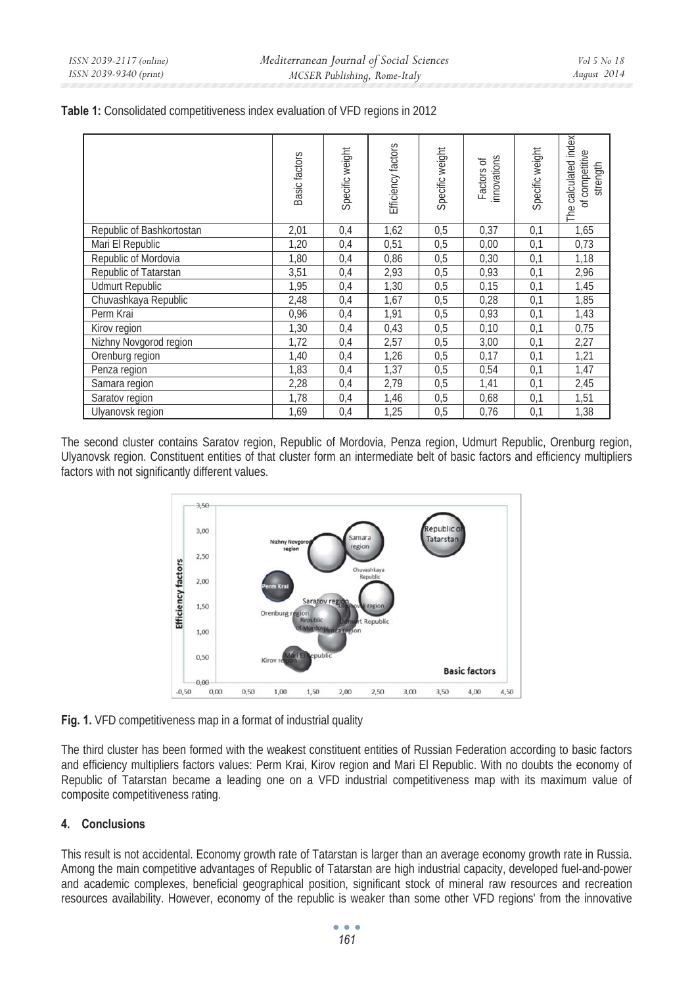|  |  |  | Table 1: Consolidated competitiveness index evaluation of VFD regions in 2012 |  |  |  |  |  |
|--|--|--|-------------------------------------------------------------------------------|--|--|--|--|--|
|--|--|--|-------------------------------------------------------------------------------|--|--|--|--|--|

|                           | Basic factors | Specific weight | Efficiency factors | Specific weight | innovations<br>Factors of | Specific weight | The calculated index<br>of competitive<br>strength |
|---------------------------|---------------|-----------------|--------------------|-----------------|---------------------------|-----------------|----------------------------------------------------|
| Republic of Bashkortostan | 2,01          | 0,4             | 1,62               | 0,5             | 0,37                      | 0,1             | 1,65                                               |
| Mari El Republic          | 1,20          | 0,4             | 0,51               | 0,5             | 0,00                      | 0,1             | 0,73                                               |
| Republic of Mordovia      | 1,80          | 0,4             | 0,86               | 0,5             | 0,30                      | 0,1             | 1,18                                               |
| Republic of Tatarstan     | 3,51          | 0,4             | 2,93               | 0,5             | 0,93                      | 0,1             | 2,96                                               |
| <b>Udmurt Republic</b>    | 1,95          | 0,4             | 1,30               | 0,5             | 0,15                      | 0,1             | 1,45                                               |
| Chuvashkaya Republic      | 2,48          | 0,4             | 1,67               | 0,5             | 0,28                      | 0,1             | 1,85                                               |
| Perm Krai                 | 0,96          | 0,4             | 1,91               | 0,5             | 0,93                      | 0,1             | 1,43                                               |
| Kirov region              | 1,30          | 0,4             | 0,43               | 0,5             | 0,10                      | 0,1             | 0,75                                               |
| Nizhny Novgorod region    | 1,72          | 0,4             | 2,57               | 0,5             | 3,00                      | 0,1             | 2,27                                               |
| Orenburg region           | 1,40          | 0,4             | 1,26               | 0,5             | 0,17                      | 0,1             | 1,21                                               |
| Penza region              | 1,83          | 0,4             | 1,37               | 0,5             | 0,54                      | 0,1             | 1,47                                               |
| Samara region             | 2,28          | 0,4             | 2,79               | 0,5             | 1,41                      | 0,1             | 2,45                                               |
| Saratov region            | 1,78          | 0,4             | 1,46               | 0,5             | 0,68                      | 0,1             | 1,51                                               |
| Ulyanovsk region          | 1,69          | 0,4             | 1,25               | 0,5             | 0,76                      | 0,1             | 1,38                                               |

The second cluster contains Saratov region, Republic of Mordovia, Penza region, Udmurt Republic, Orenburg region, Ulyanovsk region. Constituent entities of that cluster form an intermediate belt of basic factors and efficiency multipliers factors with not significantly different values.



**Fig. 1.** VFD competitiveness map in a format of industrial quality

The third cluster has been formed with the weakest constituent entities of Russian Federation according to basic factors and efficiency multipliers factors values: Perm Krai, Kirov region and Mari El Republic. With no doubts the economy of Republic of Tatarstan became a leading one on a VFD industrial competitiveness map with its maximum value of composite competitiveness rating.

# **4. Conclusions**

This result is not accidental. Economy growth rate of Tatarstan is larger than an average economy growth rate in Russia. Among the main competitive advantages of Republic of Tatarstan are high industrial capacity, developed fuel-and-power and academic complexes, beneficial geographical position, significant stock of mineral raw resources and recreation resources availability. However, economy of the republic is weaker than some other VFD regions' from the innovative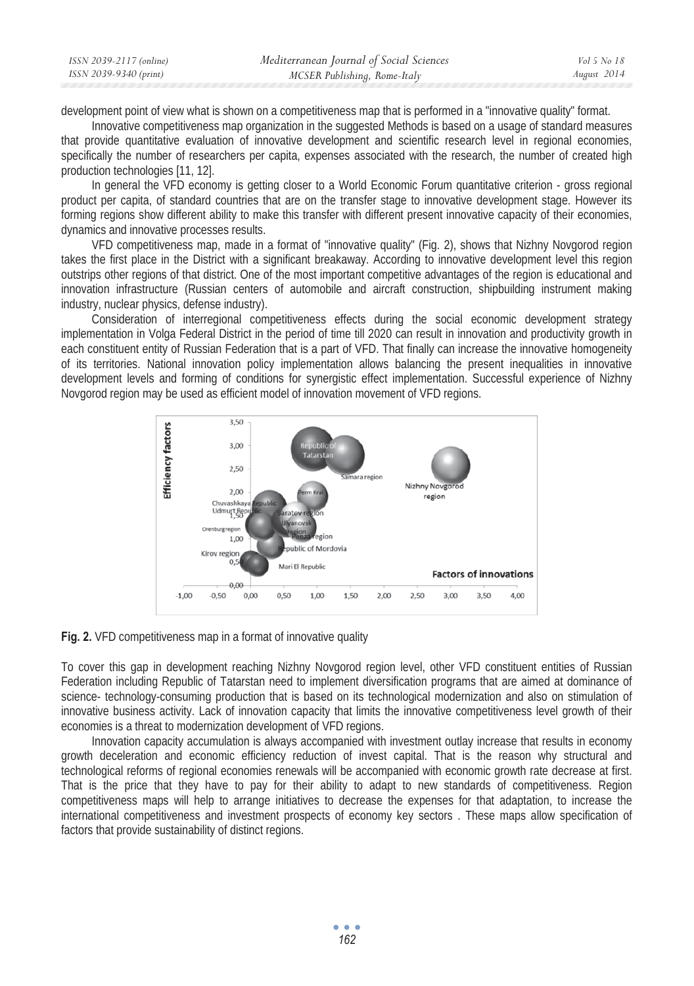| ISSN 2039-2117 (online) | Mediterranean Journal of Social Sciences | Vol 5 No 18 |
|-------------------------|------------------------------------------|-------------|
| ISSN 2039-9340 (print)  | MCSER Publishing, Rome-Italy             | August 2014 |

development point of view what is shown on a competitiveness map that is performed in a "innovative quality" format.

Innovative competitiveness map organization in the suggested Methods is based on a usage of standard measures that provide quantitative evaluation of innovative development and scientific research level in regional economies, specifically the number of researchers per capita, expenses associated with the research, the number of created high production technologies [11, 12].

In general the VFD economy is getting closer to a World Economic Forum quantitative criterion - gross regional product per capita, of standard countries that are on the transfer stage to innovative development stage. However its forming regions show different ability to make this transfer with different present innovative capacity of their economies, dynamics and innovative processes results.

VFD competitiveness map, made in a format of "innovative quality" (Fig. 2), shows that Nizhny Novgorod region takes the first place in the District with a significant breakaway. According to innovative development level this region outstrips other regions of that district. One of the most important competitive advantages of the region is educational and innovation infrastructure (Russian centers of automobile and aircraft construction, shipbuilding instrument making industry, nuclear physics, defense industry).

Consideration of interregional competitiveness effects during the social economic development strategy implementation in Volga Federal District in the period of time till 2020 can result in innovation and productivity growth in each constituent entity of Russian Federation that is a part of VFD. That finally can increase the innovative homogeneity of its territories. National innovation policy implementation allows balancing the present inequalities in innovative development levels and forming of conditions for synergistic effect implementation. Successful experience of Nizhny Novgorod region may be used as efficient model of innovation movement of VFD regions.



**Fig. 2.** VFD competitiveness map in a format of innovative quality

To cover this gap in development reaching Nizhny Novgorod region level, other VFD constituent entities of Russian Federation including Republic of Tatarstan need to implement diversification programs that are aimed at dominance of science- technology-consuming production that is based on its technological modernization and also on stimulation of innovative business activity. Lack of innovation capacity that limits the innovative competitiveness level growth of their economies is a threat to modernization development of VFD regions.

Innovation capacity accumulation is always accompanied with investment outlay increase that results in economy growth deceleration and economic efficiency reduction of invest capital. That is the reason why structural and technological reforms of regional economies renewals will be accompanied with economic growth rate decrease at first. That is the price that they have to pay for their ability to adapt to new standards of competitiveness. Region competitiveness maps will help to arrange initiatives to decrease the expenses for that adaptation, to increase the international competitiveness and investment prospects of economy key sectors . These maps allow specification of factors that provide sustainability of distinct regions.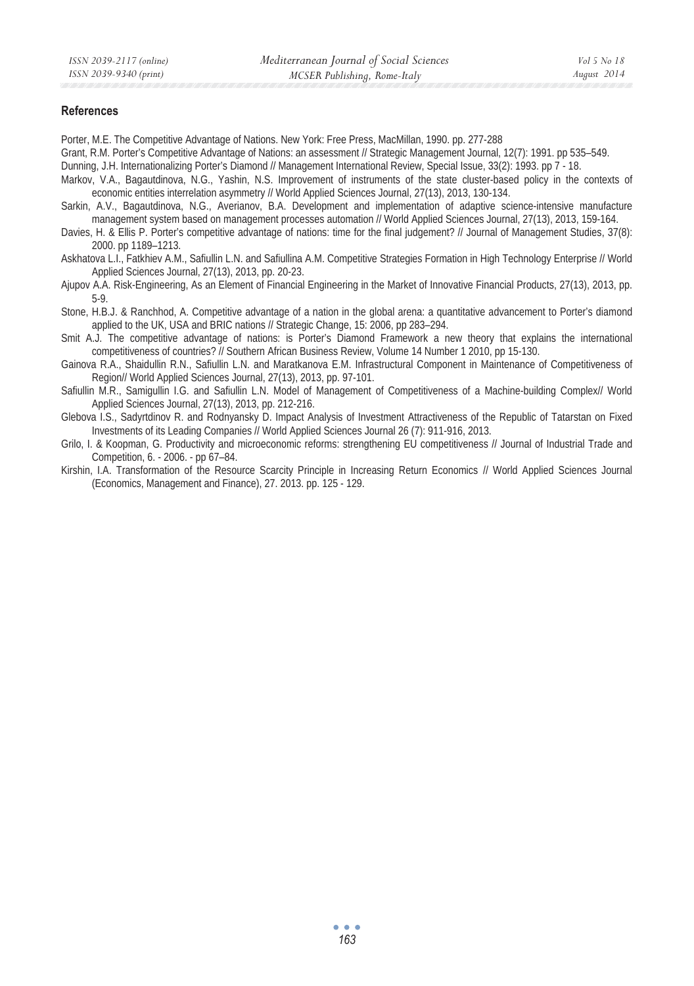#### **References**

Porter, M.E. The Competitive Advantage of Nations. New York: Free Press, MacMillan, 1990. pp. 277-288

Grant, R.M. Porter's Competitive Advantage of Nations: an assessment // Strategic Management Journal, 12(7): 1991. pp 535–549.

Dunning, J.H. Internationalizing Porter's Diamond // Management International Review, Special Issue, 33(2): 1993. pp 7 - 18.

- Markov, V.A., Bagautdinova, N.G., Yashin, N.S. Improvement of instruments of the state cluster-based policy in the contexts of economic entities interrelation asymmetry // World Applied Sciences Journal, 27(13), 2013, 130-134.
- Sarkin, A.V., Bagautdinova, N.G., Averianov, B.A. Development and implementation of adaptive science-intensive manufacture management system based on management processes automation // World Applied Sciences Journal, 27(13), 2013, 159-164.
- Davies, H. & Ellis P. Porter's competitive advantage of nations: time for the final judgement? // Journal of Management Studies, 37(8): 2000. pp 1189–1213.
- Askhatova L.I., Fatkhiev A.M., Safiullin L.N. and Safiullina A.M. Competitive Strategies Formation in High Technology Enterprise // World Applied Sciences Journal, 27(13), 2013, pp. 20-23.
- Ajupov A.A. Risk-Engineering, As an Element of Financial Engineering in the Market of Innovative Financial Products, 27(13), 2013, pp. 5-9.
- Stone, H.B.J. & Ranchhod, A. Competitive advantage of a nation in the global arena: a quantitative advancement to Porter's diamond applied to the UK, USA and BRIC nations // Strategic Change, 15: 2006, pp 283–294.
- Smit A.J. The competitive advantage of nations: is Porter's Diamond Framework a new theory that explains the international competitiveness of countries? // Southern African Business Review, Volume 14 Number 1 2010, pp 15-130.
- Gainova R.A., Shaidullin R.N., Safiullin L.N. and Maratkanova E.M. Infrastructural Component in Maintenance of Competitiveness of Region// World Applied Sciences Journal, 27(13), 2013, pp. 97-101.
- Safiullin M.R., Samigullin I.G. and Safiullin L.N. Model of Management of Competitiveness of a Machine-building Complex// World Applied Sciences Journal, 27(13), 2013, pp. 212-216.
- Glebova I.S., Sadyrtdinov R. and Rodnyansky D. Impact Analysis of Investment Attractiveness of the Republic of Tatarstan on Fixed Investments of its Leading Companies // World Applied Sciences Journal 26 (7): 911-916, 2013.
- Grilo, I. & Koopman, G. Productivity and microeconomic reforms: strengthening EU competitiveness // Journal of Industrial Trade and Competition, 6. - 2006. - pp 67–84.
- Kirshin, I.A. Transformation of the Resource Scarcity Principle in Increasing Return Economics // World Applied Sciences Journal (Economics, Management and Finance), 27. 2013. pp. 125 - 129.